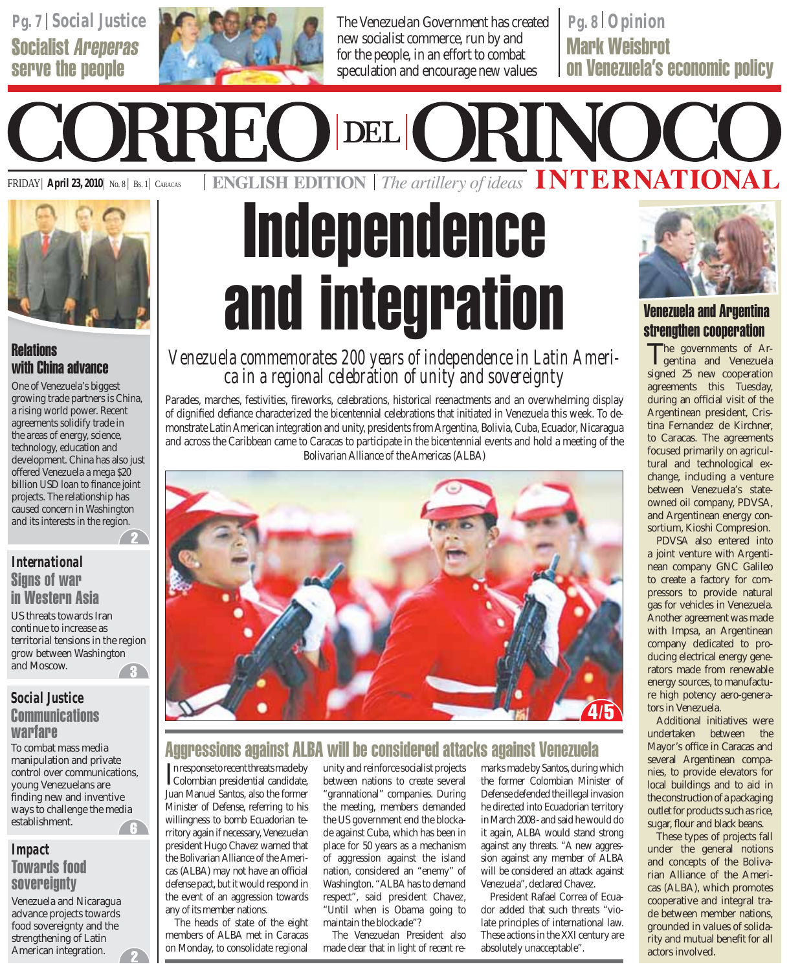Socialist Areperas serve the people



Pg. 7 | *Social Justice* **Pg. 8 |** *Opinion* new socialist commerce, run by and for the people, in an effort to combat speculation and encourage new values

Mark Weisbrot on Venezuela's economic policy

**FRIDAY** | **April 23, 2010** | No. 8 | Bs. 1 | CARACAS



# **Relations** with China advance

One of Venezuela's biggest growing trade partners is China, a rising world power. Recent agreements solidify trade in the areas of energy, science, technology, education and development. China has also just offered Venezuela a mega \$20 billion USD loan to finance joint projects. The relationship has caused concern in Washington and its interests in the region.

# *International* Signs of war in Western Asia

US threats towards Iran continue to increase as territorial tensions in the region grow between Washington and Moscow.

# *Social Justice* **Communications** warfare

To combat mass media manipulation and private control over communications, young Venezuelans are finding new and inventive ways to challenge the media establishment.

# *Impact* Towards food sovereignty

Venezuela and Nicaragua advance projects towards food sovereignty and the strengthening of Latin American integration.

# **ENGLISH EDITION** | The artillery of ideas **INTERNATIONAL** Independence and integration

CORREO DEL ORINOCO

*Venezuela commemorates 200 years of independence in Latin Ameri ca in a regional celebration of unity and sovereignty*

Parades, marches, festivities, fireworks, celebrations, historical reenactments and an overwhelming display of dignified defiance characterized the bicentennial celebrations that initiated in Venezuela this week. To demonstrate Latin American integration and unity, presidents from Argentina, Bolivia, Cuba, Ecuador, Nicaragua and across the Caribbean came to Caracas to participate in the bicentennial events and hold a meeting of the Bolivarian Alliance of the Americas (ALBA)



# Aggressions against ALBA will be considered attacks against Venezuela

In response to recent threats made by<br>Colombian presidential candidate, Colombian presidential candidate, Juan Manuel Santos, also the former Minister of Defense, referring to his willingness to bomb Ecuadorian territory again if necessary, Venezuelan president Hugo Chavez warned that the Bolivarian Alliance of the Americas (ALBA) may not have an official defense pact, but it would respond in the event of an aggression towards any of its member nations.

The heads of state of the eight members of ALBA met in Caracas on Monday, to consolidate regional

unity and reinforce socialist projects between nations to create several "grannational" companies. During the meeting, members demanded the US government end the blockade against Cuba, which has been in place for 50 years as a mechanism of aggression against the island nation, considered an "enemy" of Washington. "ALBA has to demand respect", said president Chavez, "Until when is Obama going to maintain the blockade"?

The Venezuelan President also made clear that in light of recent remarks made by Santos, during which the former Colombian Minister of Defense defended the illegal invasion he directed into Ecuadorian territory in March 2008 - and said he would do it again, ALBA would stand strong against any threats. "A new aggression against any member of ALBA will be considered an attack against Venezuela", declared Chavez.

President Rafael Correa of Ecuador added that such threats "violate principles of international law. These actions in the XXI century are absolutely unacceptable".



# Venezuela and Argentina strengthen cooperation

The governments of Argentina and Venezuela signed 25 new cooperation agreements this Tuesday, during an official visit of the Argentinean president, Cristina Fernandez de Kirchner, to Caracas. The agreements focused primarily on agricultural and technological exchange, including a venture between Venezuela's stateowned oil company, PDVSA, and Argentinean energy consortium, Kioshi Compresion.

PDVSA also entered into a joint venture with Argentinean company GNC Galileo to create a factory for compressors to provide natural gas for vehicles in Venezuela. Another agreement was made with Impsa, an Argentinean company dedicated to producing electrical energy generators made from renewable energy sources, to manufacture high potency aero-generators in Venezuela.

Additional initiatives were undertaken between the Mayor's office in Caracas and several Argentinean companies, to provide elevators for local buildings and to aid in the construction of a packaging outlet for products such as rice, sugar, flour and black beans.

These types of projects fall under the general notions and concepts of the Bolivarian Alliance of the Americas (ALBA), which promotes cooperative and integral trade between member nations, grounded in values of solidarity and mutual benefit for all actors involved.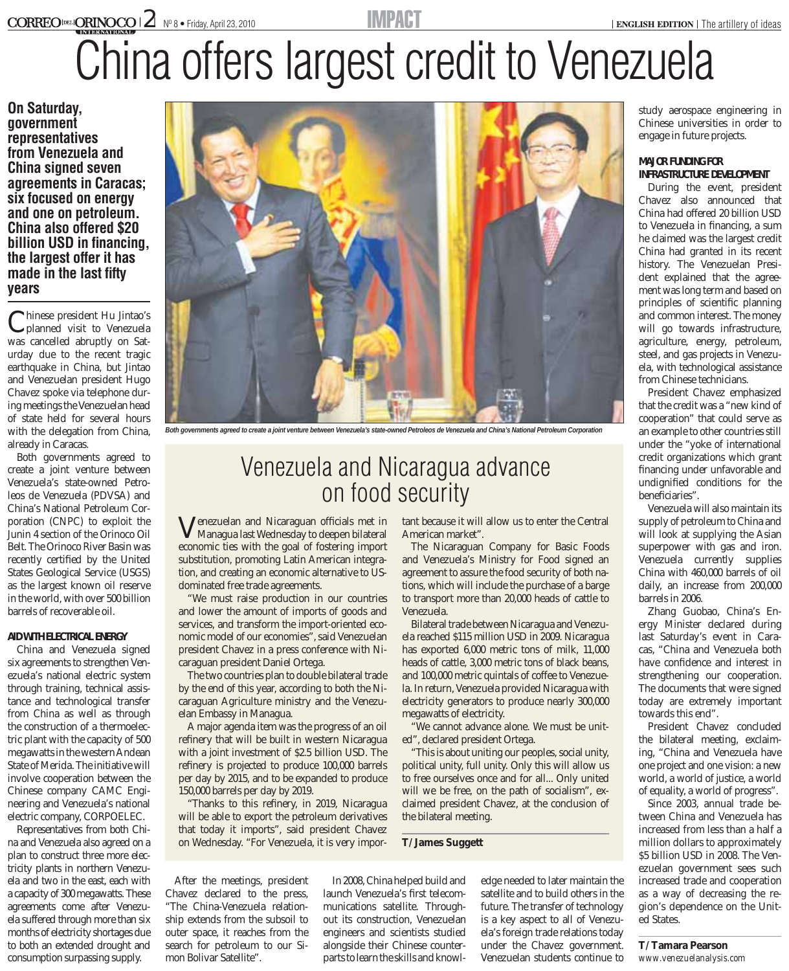# | 2| Nº 8 ● Friday, April 23, 2010 **| NOPACT | NOVEMBER | ENGLISH EDITION** | The artillery of ideas China offers largest credit to Venezuela

**On Saturday, government representatives from Venezuela and China signed seven agreements in Caracas; six focused on energy and one on petroleum. China also offered \$20 billion USD in financing, the largest offer it has made in the last fifty years**

Chinese president Hu Jintao's<br>Cplanned visit to Venezuela was cancelled abruptly on Saturday due to the recent tragic earthquake in China, but Jintao and Venezuelan president Hugo Chavez spoke via telephone during meetings the Venezuelan head of state held for several hours with the delegation from China, already in Caracas.

Both governments agreed to create a joint venture between Venezuela's state-owned Petroleos de Venezuela (PDVSA) and China's National Petroleum Corporation (CNPC) to exploit the Junin 4 section of the Orinoco Oil Belt. The Orinoco River Basin was recently certified by the United States Geological Service (USGS) as the largest known oil reserve in the world, with over 500 billion barrels of recoverable oil.

### AID WITH ELECTRICAL ENERGY

China and Venezuela signed six agreements to strengthen Venezuela's national electric system through training, technical assistance and technological transfer from China as well as through the construction of a thermoelectric plant with the capacity of 500 megawatts in the western Andean State of Merida. The initiative will involve cooperation between the Chinese company CAMC Engineering and Venezuela's national electric company, CORPOELEC.

Representatives from both China and Venezuela also agreed on a plan to construct three more electricity plants in northern Venezuela and two in the east, each with a capacity of 300 megawatts. These agreements come after Venezuela suffered through more than six months of electricity shortages due to both an extended drought and consumption surpassing supply.



*Both governments agreed to create a joint venture bet* 

# Venezuela and Nicaragua advance on food security

Venezuelan and Nicaraguan officials met in Managua last Wednesday to deepen bilateral economic ties with the goal of fostering import substitution, promoting Latin American integration, and creating an economic alternative to USdominated free trade agreements.

"We must raise production in our countries and lower the amount of imports of goods and services, and transform the import-oriented economic model of our economies", said Venezuelan president Chavez in a press conference with Nicaraguan president Daniel Ortega.

The two countries plan to double bilateral trade by the end of this year, according to both the Nicaraguan Agriculture ministry and the Venezuelan Embassy in Managua.

A major agenda item was the progress of an oil refinery that will be built in western Nicaragua with a joint investment of \$2.5 billion USD. The refinery is projected to produce 100,000 barrels per day by 2015, and to be expanded to produce 150,000 barrels per day by 2019.

"Thanks to this refinery, in 2019, Nicaragua will be able to export the petroleum derivatives that today it imports", said president Chavez on Wednesday. "For Venezuela, it is very important because it will allow us to enter the Central American market".

The Nicaraguan Company for Basic Foods and Venezuela's Ministry for Food signed an agreement to assure the food security of both nations, which will include the purchase of a barge to transport more than 20,000 heads of cattle to Venezuela.

Bilateral trade between Nicaragua and Venezuela reached \$115 million USD in 2009. Nicaragua has exported 6,000 metric tons of milk, 11,000 heads of cattle, 3,000 metric tons of black beans, and 100,000 metric quintals of coffee to Venezuela. In return, Venezuela provided Nicaragua with electricity generators to produce nearly 300,000 megawatts of electricity.

"We cannot advance alone. We must be united", declared president Ortega.

"This is about uniting our peoples, social unity, political unity, full unity. Only this will allow us to free ourselves once and for all... Only united will we be free, on the path of socialism", exclaimed president Chavez, at the conclusion of the bilateral meeting.

**T/ James Suggett**

After the meetings, president Chavez declared to the press, "The China-Venezuela relationship extends from the subsoil to outer space, it reaches from the search for petroleum to our Simon Bolivar Satellite".

In 2008, China helped build and launch Venezuela's first telecommunications satellite. Throughout its construction, Venezuelan engineers and scientists studied alongside their Chinese counterparts to learn the skills and knowledge needed to later maintain the satellite and to build others in the future. The transfer of technology is a key aspect to all of Venezuela's foreign trade relations today under the Chavez government. Venezuelan students continue to study aerospace engineering in Chinese universities in order to engage in future projects.

### MAJOR FUNDING FOR INFRASTRUCTURE DEVELOPMENT

During the event, president Chavez also announced that China had offered 20 billion USD to Venezuela in financing, a sum he claimed was the largest credit China had granted in its recent history. The Venezuelan President explained that the agreement was long term and based on principles of scientific planning and common interest. The money will go towards infrastructure, agriculture, energy, petroleum, steel, and gas projects in Venezuela, with technological assistance from Chinese technicians.

President Chavez emphasized that the credit was a "new kind of cooperation" that could serve as an example to other countries still under the "yoke of international credit organizations which grant financing under unfavorable and undignified conditions for the beneficiaries".

Venezuela will also maintain its supply of petroleum to China and will look at supplying the Asian superpower with gas and iron. Venezuela currently supplies China with 460,000 barrels of oil daily, an increase from 200,000 barrels in 2006.

Zhang Guobao, China's Energy Minister declared during last Saturday's event in Caracas, "China and Venezuela both have confidence and interest in strengthening our cooperation. The documents that were signed today are extremely important towards this end".

President Chavez concluded the bilateral meeting, exclaiming, "China and Venezuela have one project and one vision: a new world, a world of justice, a world of equality, a world of progress".

Since 2003, annual trade between China and Venezuela has increased from less than a half a million dollars to approximately \$5 billion USD in 2008. The Venezuelan government sees such increased trade and cooperation as a way of decreasing the region's dependence on the United States.

**T/ Tamara Pearson**

*www.venezuelanalysis.com*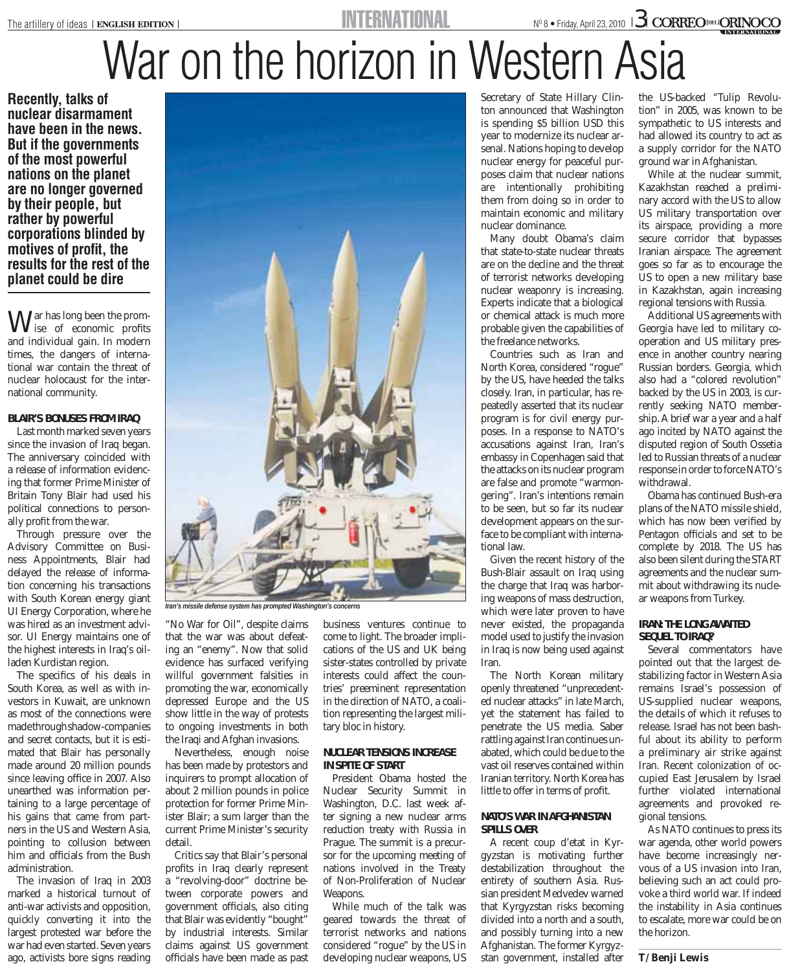# War on the horizon in Western Asia

**Recently, talks of nuclear disarmament have been in the news. But if the governments of the most powerful nations on the planet are no longer governed by their people, but rather by powerful corporations blinded by motives of profit, the results for the rest of the planet could be dire** 

War has long been the promand individual gain. In modern times, the dangers of international war contain the threat of nuclear holocaust for the international community.

## BLAIR'S BONUSES FROM IRAQ

Last month marked seven years since the invasion of Iraq began. The anniversary coincided with a release of information evidencing that former Prime Minister of Britain Tony Blair had used his political connections to personally profit from the war.

Through pressure over the Advisory Committee on Business Appointments, Blair had delayed the release of information concerning his transactions with South Korean energy giant UI Energy Corporation, where he was hired as an investment advisor. UI Energy maintains one of the highest interests in Iraq's oilladen Kurdistan region.

The specifics of his deals in South Korea, as well as with investors in Kuwait, are unknown as most of the connections were made through shadow-companies and secret contacts, but it is estimated that Blair has personally made around 20 million pounds since leaving office in 2007. Also unearthed was information pertaining to a large percentage of his gains that came from partners in the US and Western Asia, pointing to collusion between him and officials from the Bush administration.

The invasion of Iraq in 2003 marked a historical turnout of anti-war activists and opposition, quickly converting it into the largest protested war before the war had even started. Seven years ago, activists bore signs reading



*Iran's missile defense system has programs* 

"No War for Oil", despite claims that the war was about defeating an "enemy". Now that solid evidence has surfaced verifying willful government falsities in promoting the war, economically depressed Europe and the US show little in the way of protests to ongoing investments in both the Iraqi and Afghan invasions.

Nevertheless, enough noise has been made by protestors and inquirers to prompt allocation of about 2 million pounds in police protection for former Prime Minister Blair; a sum larger than the current Prime Minister's security detail.

Critics say that Blair's personal profits in Iraq clearly represent a "revolving-door" doctrine between corporate powers and government officials, also citing that Blair was evidently "bought" by industrial interests. Similar claims against US government officials have been made as past

business ventures continue to come to light. The broader implications of the US and UK being sister-states controlled by private interests could affect the countries' preeminent representation in the direction of NATO, a coalition representing the largest military bloc in history.

### NUCLEAR TENSIONS INCREASE IN SPITE OF START

President Obama hosted the Nuclear Security Summit in Washington, D.C. last week after signing a new nuclear arms reduction treaty with Russia in Prague. The summit is a precursor for the upcoming meeting of nations involved in the Treaty of Non-Proliferation of Nuclear Weapons.

While much of the talk was geared towards the threat of terrorist networks and nations considered "rogue" by the US in developing nuclear weapons, US

Secretary of State Hillary Clinton announced that Washington is spending \$5 billion USD this year to modernize its nuclear arsenal. Nations hoping to develop nuclear energy for peaceful purposes claim that nuclear nations are intentionally prohibiting them from doing so in order to maintain economic and military nuclear dominance.

Many doubt Obama's claim that state-to-state nuclear threats are on the decline and the threat of terrorist networks developing nuclear weaponry is increasing. Experts indicate that a biological or chemical attack is much more probable given the capabilities of the freelance networks.

Countries such as Iran and North Korea, considered "rogue" by the US, have heeded the talks closely. Iran, in particular, has repeatedly asserted that its nuclear program is for civil energy purposes. In a response to NATO's accusations against Iran, Iran's embassy in Copenhagen said that the attacks on its nuclear program are false and promote "warmongering". Iran's intentions remain to be seen, but so far its nuclear development appears on the surface to be compliant with international law.

Given the recent history of the Bush-Blair assault on Iraq using the charge that Iraq was harboring weapons of mass destruction, which were later proven to have never existed, the propaganda model used to justify the invasion in Iraq is now being used against **Iran** 

The North Korean military openly threatened "unprecedented nuclear attacks" in late March, yet the statement has failed to penetrate the US media. Saber rattling against Iran continues unabated, which could be due to the vast oil reserves contained within Iranian territory. North Korea has little to offer in terms of profit.

### NATO'S WAR IN AFGHANISTAN SPILLS OVER

A recent coup d'etat in Kyrgyzstan is motivating further destabilization throughout the entirety of southern Asia. Russian president Medvedev warned that Kyrgyzstan risks becoming divided into a north and a south, and possibly turning into a new Afghanistan. The former Kyrgyzstan government, installed after

the US-backed "Tulip Revolution" in 2005, was known to be sympathetic to US interests and had allowed its country to act as a supply corridor for the NATO ground war in Afghanistan.

While at the nuclear summit, Kazakhstan reached a preliminary accord with the US to allow US military transportation over its airspace, providing a more secure corridor that bypasses Iranian airspace. The agreement goes so far as to encourage the US to open a new military base in Kazakhstan, again increasing regional tensions with Russia.

Additional US agreements with Georgia have led to military cooperation and US military presence in another country nearing Russian borders. Georgia, which also had a "colored revolution" backed by the US in 2003, is currently seeking NATO membership. A brief war a year and a half ago incited by NATO against the disputed region of South Ossetia led to Russian threats of a nuclear response in order to force NATO's withdrawal.

Obama has continued Bush-era plans of the NATO missile shield, which has now been verified by Pentagon officials and set to be complete by 2018. The US has also been silent during the START agreements and the nuclear summit about withdrawing its nuclear weapons from Turkey.

## IRAN: THE LONG AWAITED SEQUEL TO IRAQ?

Several commentators have pointed out that the largest destabilizing factor in Western Asia remains Israel's possession of US-supplied nuclear weapons, the details of which it refuses to release. Israel has not been bashful about its ability to perform a preliminary air strike against Iran. Recent colonization of occupied East Jerusalem by Israel further violated international agreements and provoked regional tensions.

As NATO continues to press its war agenda, other world powers have become increasingly nervous of a US invasion into Iran, believing such an act could provoke a third world war. If indeed the instability in Asia continues to escalate, more war could be on the horizon.

# **T/ Benji Lewis**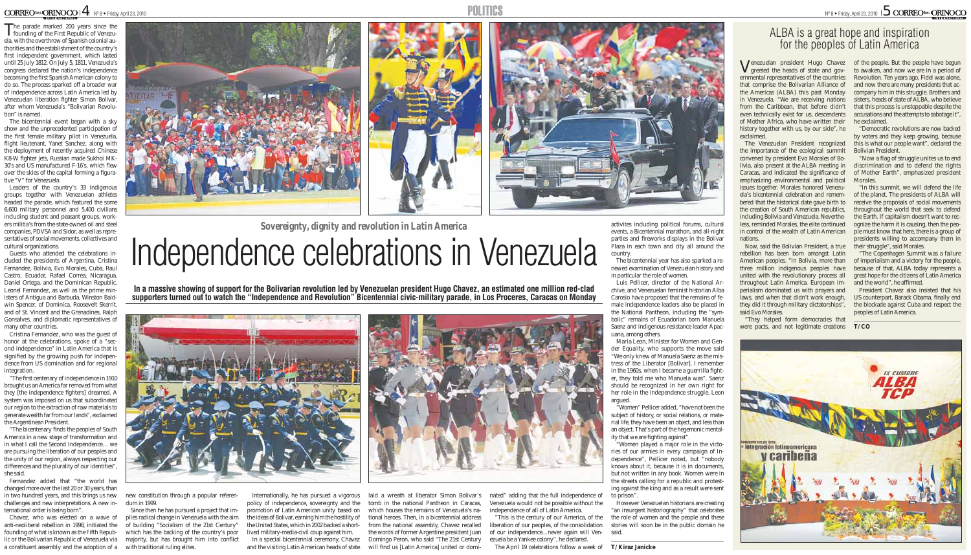# $CORREO<sub>[PEL]</sub> ORINOCO  $|4|$  N<sup>o</sup> 8 • Friday. April 23, 2010$

The parade marked 200 years since the<br>founding of the First Republic of Venezuela, with the overthrow of Spanish colonial authorities and the establishment of the country's first independent government, which lasted until 25 July 1812. On July 5, 1811, Venezuela's congress declared the nation's independence becoming the first Spanish American colony to do so. The process sparked off a broader war of independence across Latin America led by Venezuelan liberation fighter Simon Bolivar, after whom Venezuela's "Bolivarian Revolution" is named.

The bicentennial event began with a sky show and the unprecedented participation of the first female military pilot in Venezuela, flight lieutenant, Yanet Sanchez, along with the deployment of recently acquired Chinese K8-W fighter jets, Russian made Sukhoi MK-30's and US manufactured F-16's, which flew over the skies of the capital forming a figurative "V" for Venezuela.

Leaders of the country's 33 indigenous groups together with Venezuelan athletes headed the parade, which featured the some 6,600 military personnel and 5,400 civilians including student and peasant groups, workers militia's from the state-owned oil and steel companies, PDVSA and Sidor, as well as representatives of social movements, collectives and cultural organizations.

# Independence celebrations in Venezuela *Sovereignty, dignity and revolution in Latin America*

Guests who attended the celebrations included the presidents of Argentina, Cristina Fernandez, Bolivia, Evo Morales, Cuba, Raul Castro, Ecuador, Rafael Correa, Nicaragua, Daniel Ortega, and the Dominican Republic, Leonel Fernandez, as well as the prime ministers of Antigua and Barbuda, Winston Baldwin Spencer, of Dominica, Roosevelt Skerrit, and of St. Vincent and the Grenadines, Ralph Gonsalves, and diplomatic representatives of many other countries.

Cristina Fernandez, who was the guest of honor at the celebrations, spoke of a "second independence" in Latin America that is signified by the growing push for independence from US domination and for regional integration.

"The first centenary of independence in 1910 brought us an America far removed from what they [the independence fighters] dreamed. A system was imposed on us that subordinated our region to the extraction of raw materials to generate wealth far from our lands", exclaimed the Argentinean President.

Now, said the Bolivian President, a true rebellion has been born amongst Latin American peoples. "In Bolivia, more than three million indigenous peoples have united with the revolutionary process all throughout Latin America. European imperialism dominated us with prayers and laws, and when that didn't work enough, they did it through military dictatorships", said Evo Morales.

"The bicentenary finds the peoples of South America in a new stage of transformation and in what I call the Second Independence… we are pursuing the liberation of our peoples and the unity of our region, always respecting our differences and the plurality of our identities", she said.

Fernandez added that "the world has changed more over the last 20 or 30 years, than in two hundred years, and this brings us new challenges and new interpretations. A new international order is being born".

Chavez, who was elected on a wave of anti-neoliberal rebellion in 1998, initiated the founding of what is known as the Fifth Republic or the Bolivarian Republic of Venezuela via a constituent assembly and the adoption of a





**In a massive showing of support for the Bolivarian revolution led by Venezuelan president Hugo Chavez, an estimated one million red-clad supporters turned out to watch the "Independence and Revolution" Bicentennial civic-military parade, in Los Proceres, Caracas on Monday** 





Venezuelan president Hugo Chavez greeted the heads of state and governmental representatives of the countries that comprise the Bolivarian Alliance of the Americas (ALBA) this past Monday in Venezuela. "We are receiving nations from the Caribbean, that before didn't even technically exist for us, descendents of Mother Africa, who have written their history together with us, by our side", he exclaimed.

The Venezuelan President recognized the importance of the ecological summit convened by president Evo Morales of Bolivia, also present at the ALBA meeting in Caracas, and indicated the significance of emphasizing environmental and political issues together. Morales honored Venezuela's bicentennial celebration and remembered that the historical date gave birth to the creation of South American republics, including Bolivia and Venezuela. Nevertheless, reminded Morales, the elite continued in control of the wealth of Latin American nations.

"They helped form democracies that were pacts, and not legitimate creations

of the people. But the people have begun to awaken, and now we are in a period of Revolution. Ten years ago, Fidel was alone, and now there are many presidents that accompany him in this struggle. Brothers and sisters, heads of state of ALBA, who believe that this process is unstoppable despite the accusations and the attempts to sabotage it", he exclaimed.

"Democratic revolutions are now backed by voters and they keep growing, because this is what our people want", declared the Bolivian President.

"Now a flag of struggle unites us to end discrimination and to defend the rights of Mother Earth", emphasized president Morales.

"In this summit, we will defend the life of the planet. The presidents of ALBA will receive the proposals of social movements throughout the world that seek to defend the Earth. If capitalism doesn't want to recognize the harm it is causing, then the people must know that here, there is a group of presidents willing to accompany them in their struggle", said Morales.

"The Copenhagen Summit was a failure of imperialism and a victory for the people, because of that, ALBA today represents a great hope for the citizens of Latin America and the world", he affirmed.

President Chavez also insisted that his US counterpart, Barack Obama, finally end the blockade against Cuba and respect the peoples of Latin America.

**T/ CO**



activites including political forums, cultural events, a Bicentennial marathon, and all-night parties and fireworks displays in the Bolivar Plaza in each town and city all around the country.

The bicentennial year has also sparked a renewed examination of Venezuelan history and in particular the role of women.

Luis Pellicer, director of the National Archive, and Venezuelan feminist historian Alba Carosio have proposed that the remains of female independence leaders also be placed in the National Pantheon, including the "symbolic" remains of Ecuadorian born Manuela Saenz and indigenous resistance leader Apacuana, among others.

Maria Leon, Minister for Women and Gender Equality, who supports the move said "We only knew of Manuela Saenz as the mistress of the Liberator [Bolivar]. I remember in the 1960s, when I became a guerrilla fighter, they told me who Manuela was". Saenz should be recognized in her own right for her role in the independence struggle, Leon argued.

"Women" Pellicer added, "have not been the subject of history, or social relations, or material life, they have been an object, and less than an object. That's part of the hegemonic mentality that we are fighting against".

"Women played a major role in the victories of our armies in every campaign of Independence", Pellicer noted, but "nobody knows about it, because it is in documents, but not written in any book. Women were in the streets calling for a republic and protesting against the king and as a result were sent to prison".

However Venezuelan historians are creating "an insurgent historiography" that celebrates the role of women and the people and these stories will soon be in the public domain he said.

## **T/ Kiraz Janicke**

# ALBA is a great hope and inspiration for the peoples of Latin America

new constitution through a popular referendum in 1999.

Since then he has pursued a project that implies radical change in Venezuela with the aim of building "Socialism of the 21st Century" which has the backing of the country's poor majority, but has brought him into conflict with traditional ruling elites.

Internationally, he has pursued a vigorous policy of independence, sovereignty and the promotion of Latin American unity based on the ideas of Bolivar, earning him the hostility of the United States, which in 2002 backed a shortlived military-media-civil coup against him.

In a special bicentennial ceremony, Chavez and the visiting Latin American heads of state

laid a wreath at liberator Simon Bolivar's tomb in the national Pantheon in Caracas, which houses the remains of Venezuela's national heroes. Then, in a bicentennial address from the national assembly, Chavez recalled the words of former Argentine president Juan Domingo Peron, who said "The 21st Century will find us [Latin America] united or dominated" adding that the full independence of Venezuela would not be possible without the independence of all of Latin America.

"This is the century of our America, of the liberation of our peoples, of the consolidation of our independence…never again will Venezuela be a Yankee colony", he declared. The April 19 celebrations follow a week of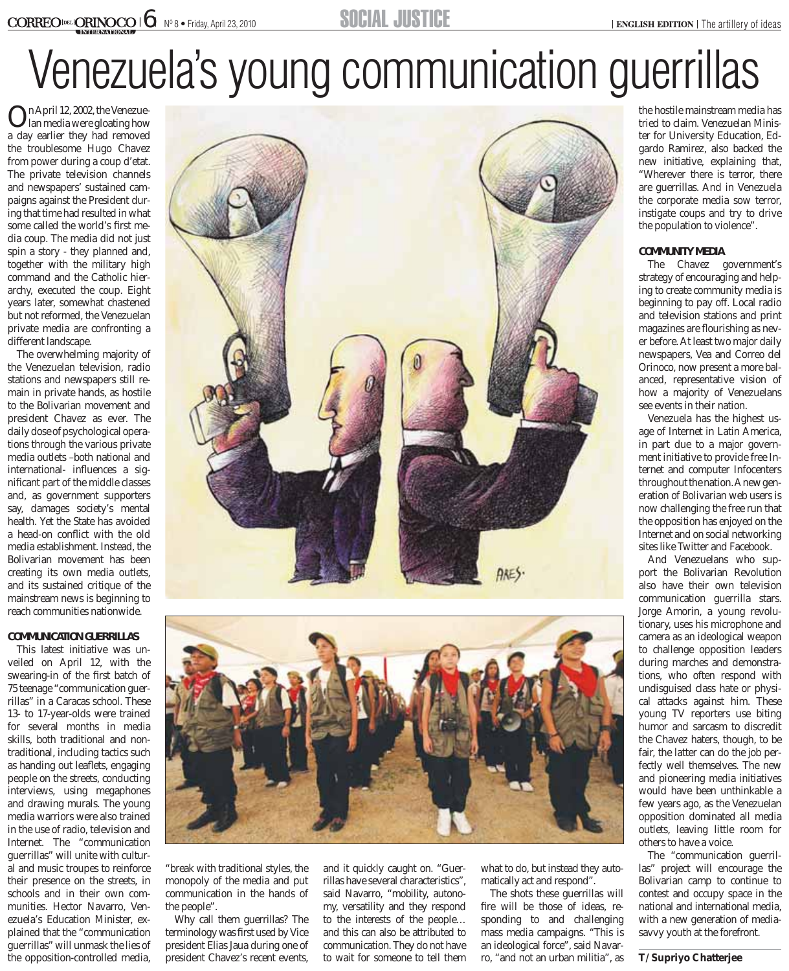# Venezuela's young communication guerrillas

On April 12, 2002, the Venezue-lan media were gloating how a day earlier they had removed the troublesome Hugo Chavez from power during a coup d'etat. The private television channels and newspapers' sustained campaigns against the President during that time had resulted in what some called the world's first media coup. The media did not just spin a story - they planned and, together with the military high command and the Catholic hierarchy, executed the coup. Eight years later, somewhat chastened but not reformed, the Venezuelan private media are confronting a different landscape.

The overwhelming majority of the Venezuelan television, radio stations and newspapers still remain in private hands, as hostile to the Bolivarian movement and president Chavez as ever. The daily dose of psychological operations through the various private media outlets –both national and international- influences a significant part of the middle classes and, as government supporters say, damages society's mental health. Yet the State has avoided a head-on conflict with the old media establishment. Instead, the Bolivarian movement has been creating its own media outlets, and its sustained critique of the mainstream news is beginning to reach communities nationwide.

### COMMUNICATION GUERRILLAS

This latest initiative was unveiled on April 12, with the swearing-in of the first batch of 75 teenage "communication guerrillas" in a Caracas school. These 13- to 17-year-olds were trained for several months in media skills, both traditional and nontraditional, including tactics such as handing out leaflets, engaging people on the streets, conducting interviews, using megaphones and drawing murals. The young media warriors were also trained in the use of radio, television and Internet. The "communication guerrillas" will unite with cultural and music troupes to reinforce their presence on the streets, in schools and in their own communities. Hector Navarro, Venezuela's Education Minister, explained that the "communication guerrillas" will unmask the lies of the opposition-controlled media,





"break with traditional styles, the monopoly of the media and put communication in the hands of the people".

Why call them guerrillas? The terminology was first used by Vice president Elias Jaua during one of president Chavez's recent events, and it quickly caught on. "Guerrillas have several characteristics", said Navarro, "mobility, autonomy, versatility and they respond to the interests of the people… and this can also be attributed to communication. They do not have to wait for someone to tell them

what to do, but instead they automatically act and respond".

The shots these guerrillas will fire will be those of ideas, responding to and challenging mass media campaigns. "This is an ideological force", said Navarro, "and not an urban militia", as the hostile mainstream media has tried to claim. Venezuelan Minister for University Education, Edgardo Ramirez, also backed the new initiative, explaining that, "Wherever there is terror, there are guerrillas. And in Venezuela the corporate media sow terror, instigate coups and try to drive the population to violence".

### COMMUNITY MEDIA

The Chavez government's strategy of encouraging and helping to create community media is beginning to pay off. Local radio and television stations and print magazines are flourishing as never before. At least two major daily newspapers, Vea and Correo del Orinoco, now present a more balanced, representative vision of how a majority of Venezuelans see events in their nation.

Venezuela has the highest usage of Internet in Latin America, in part due to a major government initiative to provide free Internet and computer Infocenters throughout the nation. A new generation of Bolivarian web users is now challenging the free run that the opposition has enjoyed on the Internet and on social networking sites like Twitter and Facebook.

And Venezuelans who support the Bolivarian Revolution also have their own television communication guerrilla stars. Jorge Amorin, a young revolutionary, uses his microphone and camera as an ideological weapon to challenge opposition leaders during marches and demonstrations, who often respond with undisguised class hate or physical attacks against him. These young TV reporters use biting humor and sarcasm to discredit the Chavez haters, though, to be fair, the latter can do the job perfectly well themselves. The new and pioneering media initiatives would have been unthinkable a few years ago, as the Venezuelan opposition dominated all media outlets, leaving little room for others to have a voice.

The "communication guerrillas" project will encourage the Bolivarian camp to continue to contest and occupy space in the national and international media, with a new generation of mediasavvy youth at the forefront.

### **T/ Supriyo Chatterjee**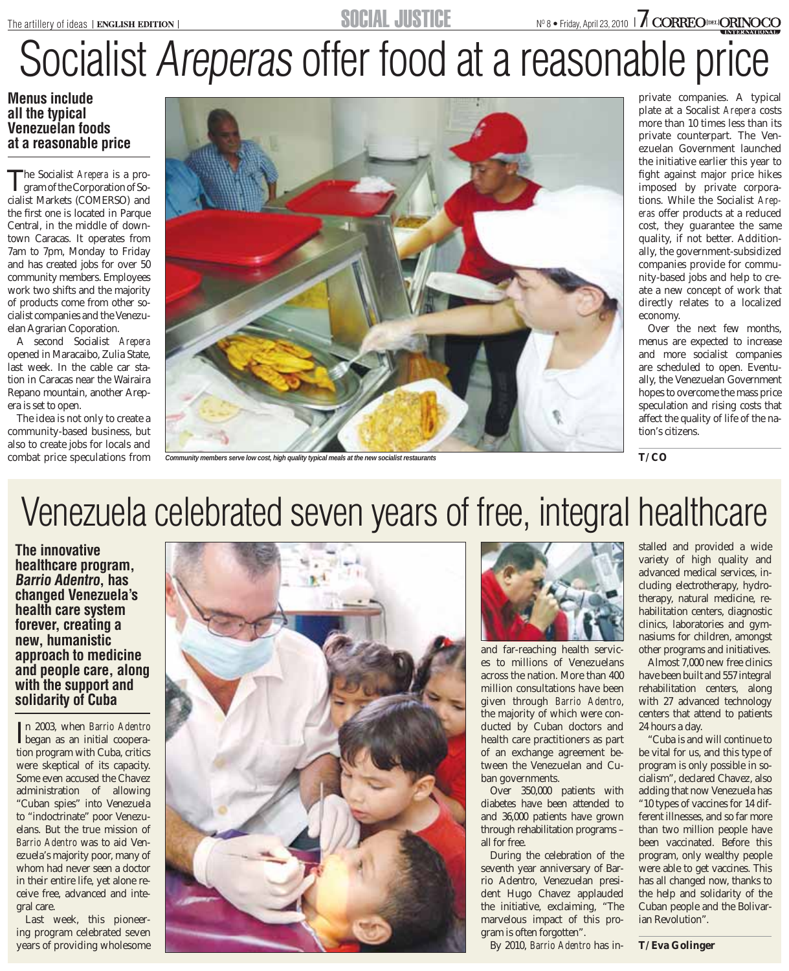# Socialist Areperas offer food at a reasonable price

# **Menus include all the typical Venezuelan foods at a reasonable price**

The Socialist *Arepera* is a pro-<br>gram of the Corporation of Socialist Markets (COMERSO) and the first one is located in Parque Central, in the middle of downtown Caracas. It operates from 7am to 7pm, Monday to Friday and has created jobs for over 50 community members. Employees work two shifts and the majority of products come from other socialist companies and the Venezuelan Agrarian Coporation.

A second Socialist *Arepera* opened in Maracaibo, Zulia State, last week. In the cable car station in Caracas near the Wairaira Repano mountain, another Arepera is set to open.

The idea is not only to create a community-based business, but also to create jobs for locals and combat price speculations from



**Community members serve low cost, high quality typical meals at the new socialist restaurants T/ CO** 

private companies. A typical plate at a Socalist *Arepera* costs more than 10 times less than its private counterpart. The Venezuelan Government launched the initiative earlier this year to fight against major price hikes imposed by private corporations. While the Socialist *Areperas* offer products at a reduced cost, they guarantee the same quality, if not better. Additionally, the government-subsidized companies provide for community-based jobs and help to create a new concept of work that directly relates to a localized economy.

Over the next few months, menus are expected to increase and more socialist companies are scheduled to open. Eventually, the Venezuelan Government hopes to overcome the mass price speculation and rising costs that affect the quality of life of the nation's citizens.

# Venezuela celebrated seven years of free, integral healthcare

**The innovative healthcare program, Barrio Adentro, has changed Venezuela's health care system forever, creating a new, humanistic approach to medicine and people care, along with the support and solidarity of Cuba** 

In 2003, when *Barrio Adentro*<br>began as an initial cooperan 2003, when *Barrio Adentro* tion program with Cuba, critics were skeptical of its capacity. Some even accused the Chavez administration of allowing "Cuban spies" into Venezuela to "indoctrinate" poor Venezuelans. But the true mission of *Barrio Adentro* was to aid Venezuela's majority poor, many of whom had never seen a doctor in their entire life, yet alone receive free, advanced and integral care.

Last week, this pioneering program celebrated seven years of providing wholesome





and far-reaching health services to millions of Venezuelans across the nation. More than 400 million consultations have been given through *Barrio Adentro*, the majority of which were conducted by Cuban doctors and health care practitioners as part of an exchange agreement between the Venezuelan and Cuban governments.

Over 350,000 patients with diabetes have been attended to and 36,000 patients have grown through rehabilitation programs – all for free.

During the celebration of the seventh year anniversary of Barrio Adentro, Venezuelan president Hugo Chavez applauded the initiative, exclaiming, "The marvelous impact of this program is often forgotten".

By 2010, *Barrio Adentro* has in-

stalled and provided a wide variety of high quality and advanced medical services, including electrotherapy, hydrotherapy, natural medicine, rehabilitation centers, diagnostic clinics, laboratories and gymnasiums for children, amongst other programs and initiatives.

Almost 7,000 new free clinics have been built and 557 integral rehabilitation centers, along with 27 advanced technology centers that attend to patients 24 hours a day.

"Cuba is and will continue to be vital for us, and this type of program is only possible in socialism", declared Chavez, also adding that now Venezuela has "10 types of vaccines for 14 different illnesses, and so far more than two million people have been vaccinated. Before this program, only wealthy people were able to get vaccines. This has all changed now, thanks to the help and solidarity of the Cuban people and the Bolivarian Revolution".

**T/ Eva Golinger**